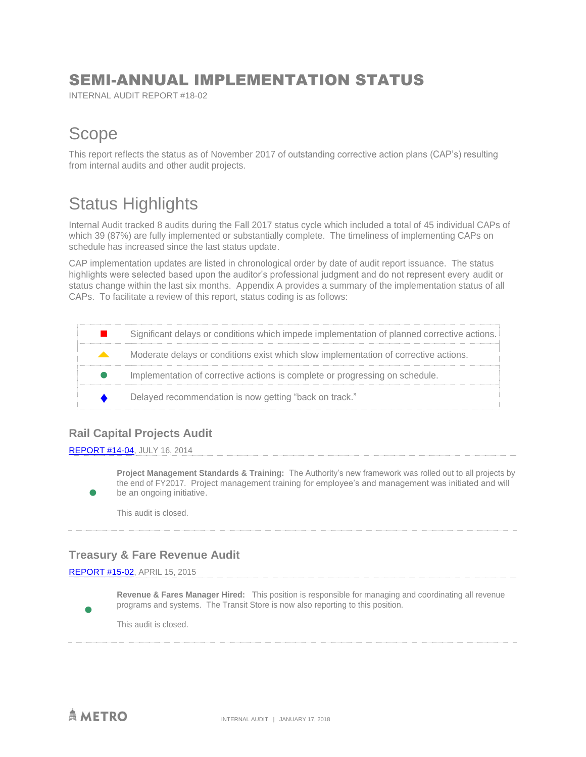### SEMI-ANNUAL IMPLEMENTATION STATUS

INTERNAL AUDIT REPORT #18-02

### Scope

This report reflects the status as of November 2017 of outstanding corrective action plans (CAP's) resulting from internal audits and other audit projects.

## Status Highlights

Internal Audit tracked 8 audits during the Fall 2017 status cycle which included a total of 45 individual CAPs of which 39 (87%) are fully implemented or substantially complete. The timeliness of implementing CAPs on schedule has increased since the last status update.

CAP implementation updates are listed in chronological order by date of audit report issuance. The status highlights were selected based upon the auditor's professional judgment and do not represent every audit or status change within the last six months. Appendix A provides a summary of the implementation status of all CAPs. To facilitate a review of this report, status coding is as follows:

|                                   | Significant delays or conditions which impede implementation of planned corrective actions. |
|-----------------------------------|---------------------------------------------------------------------------------------------|
| <b>Contract Contract Contract</b> | Moderate delays or conditions exist which slow implementation of corrective actions.        |
|                                   | Implementation of corrective actions is complete or progressing on schedule.                |
|                                   | Delayed recommendation is now getting "back on track."                                      |

### **Rail Capital Projects Audit**

[REPORT #14-04,](http://www.capmetro.org/uploadedFiles/Capmetroorg/About_Us/Finance_and_Audit/Rail%20Capital%20Projects.pdf) JULY 16, 2014

 $\bullet$ 

 $\bullet$ 

**Project Management Standards & Training:** The Authority's new framework was rolled out to all projects by the end of FY2017. Project management training for employee's and management was initiated and will be an ongoing initiative.

This audit is closed.

### **Treasury & Fare Revenue Audit**

[REPORT #15-02,](http://www.capmetro.org/uploadedFiles/Capmetroorg/About_Us/Finance_and_Audit/Treasury%20and%20Fare%20Revenue%20Audit.pdf) APRIL 15, 2015

**Revenue & Fares Manager Hired:** This position is responsible for managing and coordinating all revenue programs and systems. The Transit Store is now also reporting to this position.

This audit is closed.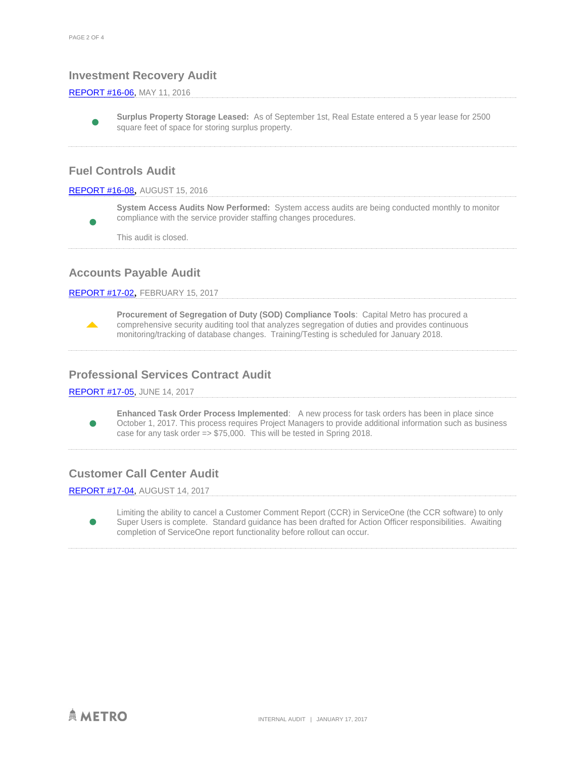#### **Investment Recovery Audit**

#### [REPORT #16-06,](https://www.capmetro.org/uploadedFiles/New2016/About_Capital_Metro/Financial_Transparency/Audit_Dcouments/Investment%20Recovery%20Report%2016-06%20Executive%20Summary.pdf) MAY 11, 2016

 $\bullet$ **Surplus Property Storage Leased:** As of September 1st, Real Estate entered a 5 year lease for 2500 square feet of space for storing surplus property.

#### **Fuel Controls Audit**

#### [REPORT #16-08](https://www.capmetro.org/uploadedFiles/Capmetroorg/About_Us/Finance_and_Audit/Fuel%20Audit%20Executive%20Summary.pdf), AUGUST 15, 2016

 $\bullet$ **System Access Audits Now Performed:** System access audits are being conducted monthly to monitor compliance with the service provider staffing changes procedures.

This audit is closed.

#### **Accounts Payable Audit**

#### [REPORT #17-02](https://www.capmetro.org/uploadedFiles/New2016/About_Capital_Metro/Financial_Transparency/Audit_Dcouments/17-02%20Accounts%20Payable%20Exec%20Summary.pdf), FEBRUARY 15, 2017



**Procurement of Segregation of Duty (SOD) Compliance Tools**: Capital Metro has procured a comprehensive security auditing tool that analyzes segregation of duties and provides continuous monitoring/tracking of database changes. Training/Testing is scheduled for January 2018.

#### **Professional Services Contract Audit**

[REPORT #17-05,](https://www.capmetro.org/uploadedFiles/New2016/About_Capital_Metro/Financial_Transparency/Audit_Dcouments/17-05-Professional-Services-Contracting-Exec-Summary.pdf) JUNE 14, 2017

 $\bullet$ **Enhanced Task Order Process Implemented**: A new process for task orders has been in place since October 1, 2017. This process requires Project Managers to provide additional information such as business case for any task order => \$75,000. This will be tested in Spring 2018.

### **Customer Call Center Audit**

[REPORT #17-04,](https://www.capmetro.org/uploadedFiles/New2016/About_Capital_Metro/Financial_Transparency/Audit_Dcouments/Customer%20Service%20Call%20Center.pdf) AUGUST 14, 2017

 $\bullet$ Limiting the ability to cancel a Customer Comment Report (CCR) in ServiceOne (the CCR software) to only Super Users is complete. Standard guidance has been drafted for Action Officer responsibilities. Awaiting completion of ServiceOne report functionality before rollout can occur.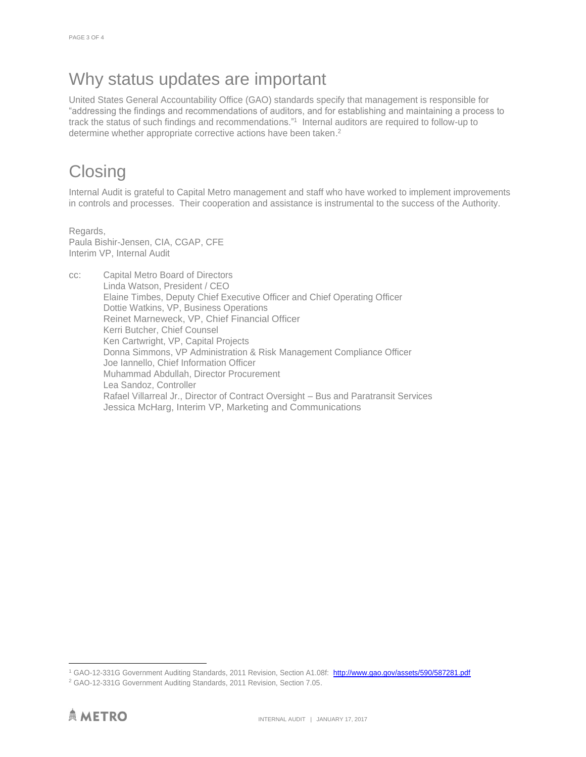## Why status updates are important

United States General Accountability Office (GAO) standards specify that management is responsible for "addressing the findings and recommendations of auditors, and for establishing and maintaining a process to track the status of such findings and recommendations."<sup>1</sup> Internal auditors are required to follow-up to determine whether appropriate corrective actions have been taken. 2

## **Closing**

Internal Audit is grateful to Capital Metro management and staff who have worked to implement improvements in controls and processes. Their cooperation and assistance is instrumental to the success of the Authority.

Regards, Paula Bishir-Jensen, CIA, CGAP, CFE Interim VP, Internal Audit

cc: Capital Metro Board of Directors Linda Watson, President / CEO Elaine Timbes, Deputy Chief Executive Officer and Chief Operating Officer Dottie Watkins, VP, Business Operations Reinet Marneweck, VP, Chief Financial Officer Kerri Butcher, Chief Counsel Ken Cartwright, VP, Capital Projects Donna Simmons, VP Administration & Risk Management Compliance Officer Joe Iannello, Chief Information Officer Muhammad Abdullah, Director Procurement Lea Sandoz, Controller Rafael Villarreal Jr., Director of Contract Oversight – Bus and Paratransit Services Jessica McHarg, Interim VP, Marketing and Communications

 $\overline{a}$ 

<sup>&</sup>lt;sup>1</sup> GAO-12-331G Government Auditing Standards, 2011 Revision, Section A1.08f: <http://www.gao.gov/assets/590/587281.pdf>

<sup>2</sup> GAO-12-331G Government Auditing Standards, 2011 Revision, Section 7.05.